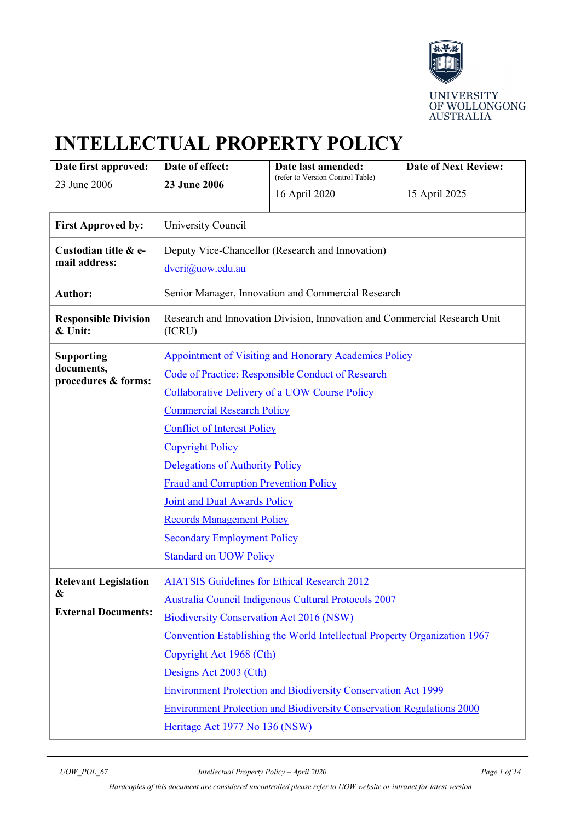

# **INTELLECTUAL PROPERTY POLICY**

| Date first approved:                   | Date of effect:                                                                                                | Date last amended:<br>(refer to Version Control Table) | <b>Date of Next Review:</b> |  |
|----------------------------------------|----------------------------------------------------------------------------------------------------------------|--------------------------------------------------------|-----------------------------|--|
| 23 June 2006<br>23 June 2006           | 16 April 2020                                                                                                  | 15 April 2025                                          |                             |  |
|                                        |                                                                                                                |                                                        |                             |  |
| <b>First Approved by:</b>              | University Council                                                                                             |                                                        |                             |  |
| Custodian title & e-                   | Deputy Vice-Chancellor (Research and Innovation)                                                               |                                                        |                             |  |
| mail address:                          | dvcri@uow.edu.au                                                                                               |                                                        |                             |  |
| <b>Author:</b>                         |                                                                                                                | Senior Manager, Innovation and Commercial Research     |                             |  |
| <b>Responsible Division</b><br>& Unit: | Research and Innovation Division, Innovation and Commercial Research Unit<br>(ICRU)                            |                                                        |                             |  |
| <b>Supporting</b>                      | <b>Appointment of Visiting and Honorary Academics Policy</b>                                                   |                                                        |                             |  |
| documents,<br>procedures & forms:      | Code of Practice: Responsible Conduct of Research                                                              |                                                        |                             |  |
|                                        | <b>Collaborative Delivery of a UOW Course Policy</b>                                                           |                                                        |                             |  |
|                                        | <b>Commercial Research Policy</b>                                                                              |                                                        |                             |  |
|                                        | <b>Conflict of Interest Policy</b>                                                                             |                                                        |                             |  |
|                                        | <b>Copyright Policy</b>                                                                                        |                                                        |                             |  |
|                                        | Delegations of Authority Policy                                                                                |                                                        |                             |  |
|                                        | <b>Fraud and Corruption Prevention Policy</b>                                                                  |                                                        |                             |  |
|                                        | Joint and Dual Awards Policy                                                                                   |                                                        |                             |  |
|                                        | <b>Records Management Policy</b>                                                                               |                                                        |                             |  |
|                                        | <b>Secondary Employment Policy</b>                                                                             |                                                        |                             |  |
|                                        | <b>Standard on UOW Policy</b>                                                                                  |                                                        |                             |  |
| <b>Relevant Legislation</b>            | <b>AIATSIS Guidelines for Ethical Research 2012</b>                                                            |                                                        |                             |  |
| &                                      | Australia Council Indigenous Cultural Protocols 2007                                                           |                                                        |                             |  |
| <b>External Documents:</b>             | <b>Biodiversity Conservation Act 2016 (NSW)</b>                                                                |                                                        |                             |  |
|                                        | Convention Establishing the World Intellectual Property Organization 1967                                      |                                                        |                             |  |
|                                        | Copyright Act 1968 (Cth)                                                                                       |                                                        |                             |  |
|                                        | Designs Act 2003 (Cth)                                                                                         |                                                        |                             |  |
|                                        | <b>Environment Protection and Biodiversity Conservation Act 1999</b>                                           |                                                        |                             |  |
|                                        | <b>Environment Protection and Biodiversity Conservation Regulations 2000</b><br>Heritage Act 1977 No 136 (NSW) |                                                        |                             |  |
|                                        |                                                                                                                |                                                        |                             |  |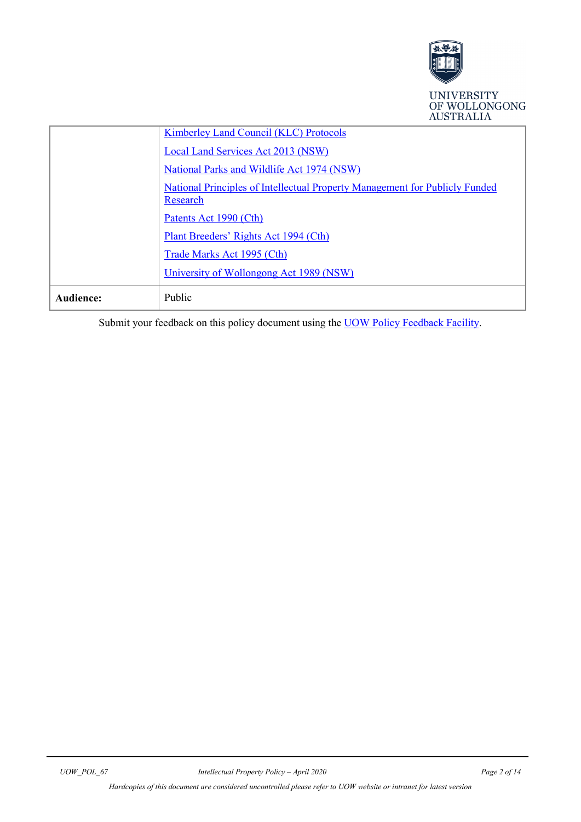

|           | OF WOLLONGONG<br><b>AUSTRALIA</b>                                                       |
|-----------|-----------------------------------------------------------------------------------------|
|           | <b>Kimberley Land Council (KLC) Protocols</b>                                           |
|           | Local Land Services Act 2013 (NSW)                                                      |
|           | National Parks and Wildlife Act 1974 (NSW)                                              |
|           | National Principles of Intellectual Property Management for Publicly Funded<br>Research |
|           | Patents Act 1990 (Cth)                                                                  |
|           | Plant Breeders' Rights Act 1994 (Cth)                                                   |
|           | Trade Marks Act 1995 (Cth)                                                              |
|           | University of Wollongong Act 1989 (NSW)                                                 |
| Audience: | Public                                                                                  |

Submit your feedback on this policy document using the **UOW Policy Feedback Facility**.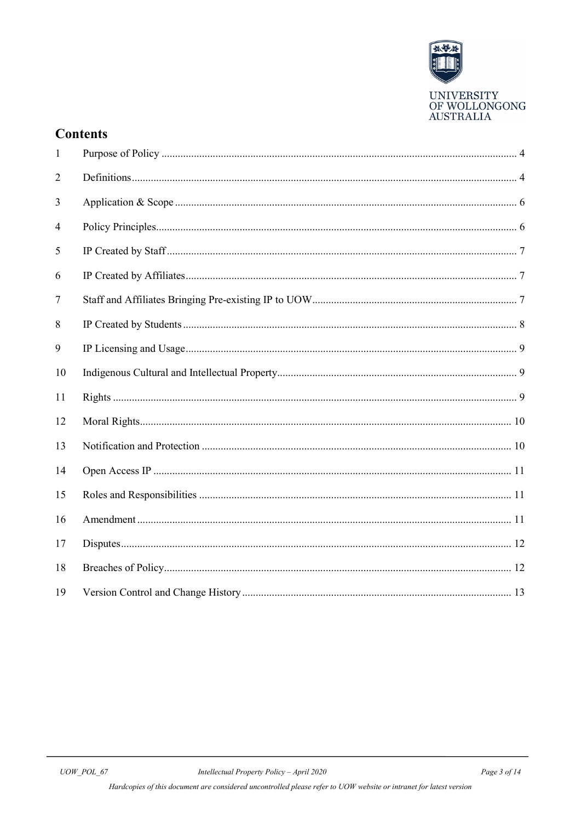

## **Contents**

| 1  |  |
|----|--|
| 2  |  |
| 3  |  |
| 4  |  |
| 5  |  |
| 6  |  |
| 7  |  |
| 8  |  |
| 9  |  |
| 10 |  |
| 11 |  |
| 12 |  |
| 13 |  |
| 14 |  |
| 15 |  |
| 16 |  |
| 17 |  |
| 18 |  |
| 19 |  |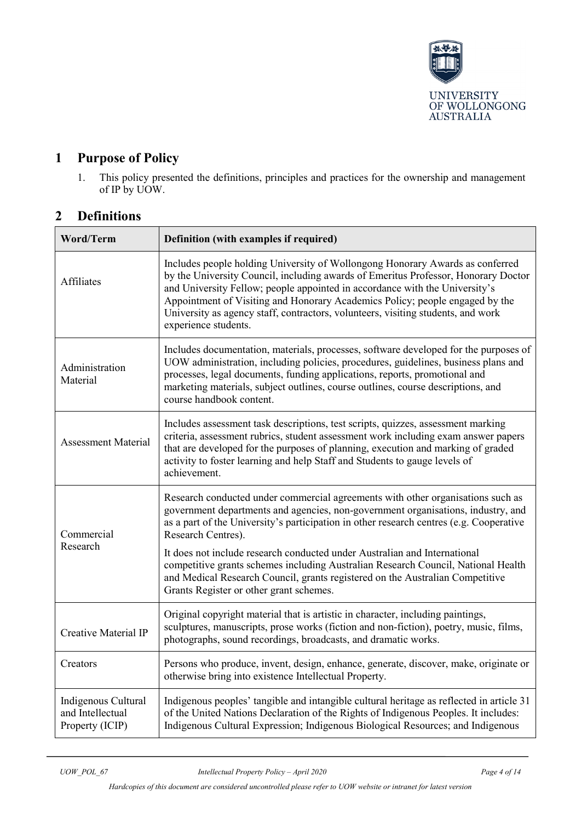

# <span id="page-3-0"></span>**1 Purpose of Policy**

1. This policy presented the definitions, principles and practices for the ownership and management of IP by UOW.

## <span id="page-3-1"></span>**2 Definitions**

| Word/Term                                                  | Definition (with examples if required)                                                                                                                                                                                                                                                                                                                                                                                                         |  |  |
|------------------------------------------------------------|------------------------------------------------------------------------------------------------------------------------------------------------------------------------------------------------------------------------------------------------------------------------------------------------------------------------------------------------------------------------------------------------------------------------------------------------|--|--|
| <b>Affiliates</b>                                          | Includes people holding University of Wollongong Honorary Awards as conferred<br>by the University Council, including awards of Emeritus Professor, Honorary Doctor<br>and University Fellow; people appointed in accordance with the University's<br>Appointment of Visiting and Honorary Academics Policy; people engaged by the<br>University as agency staff, contractors, volunteers, visiting students, and work<br>experience students. |  |  |
| Administration<br>Material                                 | Includes documentation, materials, processes, software developed for the purposes of<br>UOW administration, including policies, procedures, guidelines, business plans and<br>processes, legal documents, funding applications, reports, promotional and<br>marketing materials, subject outlines, course outlines, course descriptions, and<br>course handbook content.                                                                       |  |  |
| <b>Assessment Material</b>                                 | Includes assessment task descriptions, test scripts, quizzes, assessment marking<br>criteria, assessment rubrics, student assessment work including exam answer papers<br>that are developed for the purposes of planning, execution and marking of graded<br>activity to foster learning and help Staff and Students to gauge levels of<br>achievement.                                                                                       |  |  |
| Commercial<br>Research                                     | Research conducted under commercial agreements with other organisations such as<br>government departments and agencies, non-government organisations, industry, and<br>as a part of the University's participation in other research centres (e.g. Cooperative<br>Research Centres).                                                                                                                                                           |  |  |
|                                                            | It does not include research conducted under Australian and International<br>competitive grants schemes including Australian Research Council, National Health<br>and Medical Research Council, grants registered on the Australian Competitive<br>Grants Register or other grant schemes.                                                                                                                                                     |  |  |
| <b>Creative Material IP</b>                                | Original copyright material that is artistic in character, including paintings,<br>sculptures, manuscripts, prose works (fiction and non-fiction), poetry, music, films,<br>photographs, sound recordings, broadcasts, and dramatic works.                                                                                                                                                                                                     |  |  |
| Creators                                                   | Persons who produce, invent, design, enhance, generate, discover, make, originate or<br>otherwise bring into existence Intellectual Property.                                                                                                                                                                                                                                                                                                  |  |  |
| Indigenous Cultural<br>and Intellectual<br>Property (ICIP) | Indigenous peoples' tangible and intangible cultural heritage as reflected in article 31<br>of the United Nations Declaration of the Rights of Indigenous Peoples. It includes:<br>Indigenous Cultural Expression; Indigenous Biological Resources; and Indigenous                                                                                                                                                                             |  |  |

*Hardcopies of this document are considered uncontrolled please refer to UOW website or intranet for latest version*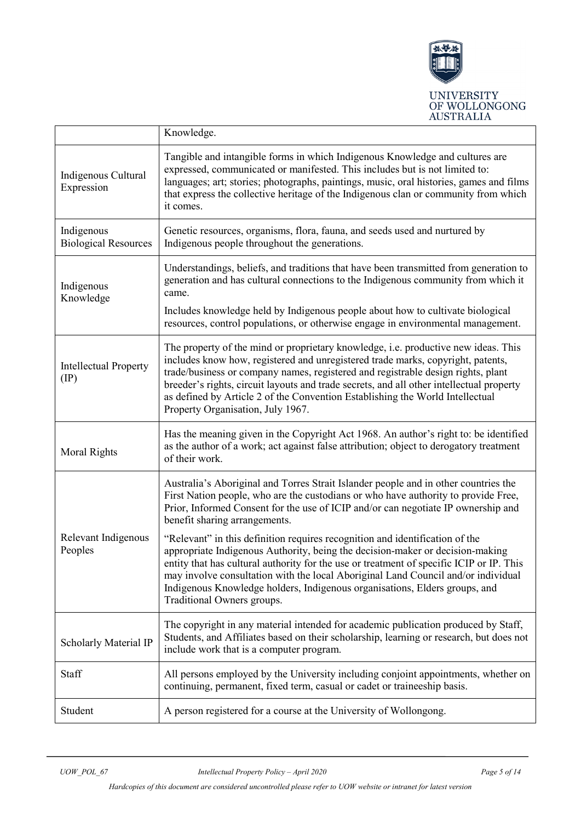

|                                               | Knowledge.                                                                                                                                                                                                                                                                                                                                                                                                                                                                                                                                                                                                                                                                                                                                                    |  |  |
|-----------------------------------------------|---------------------------------------------------------------------------------------------------------------------------------------------------------------------------------------------------------------------------------------------------------------------------------------------------------------------------------------------------------------------------------------------------------------------------------------------------------------------------------------------------------------------------------------------------------------------------------------------------------------------------------------------------------------------------------------------------------------------------------------------------------------|--|--|
| Indigenous Cultural<br>Expression             | Tangible and intangible forms in which Indigenous Knowledge and cultures are<br>expressed, communicated or manifested. This includes but is not limited to:<br>languages; art; stories; photographs, paintings, music, oral histories, games and films<br>that express the collective heritage of the Indigenous clan or community from which<br>it comes.                                                                                                                                                                                                                                                                                                                                                                                                    |  |  |
| Indigenous<br><b>Biological Resources</b>     | Genetic resources, organisms, flora, fauna, and seeds used and nurtured by<br>Indigenous people throughout the generations.                                                                                                                                                                                                                                                                                                                                                                                                                                                                                                                                                                                                                                   |  |  |
| Indigenous<br>Knowledge                       | Understandings, beliefs, and traditions that have been transmitted from generation to<br>generation and has cultural connections to the Indigenous community from which it<br>came.<br>Includes knowledge held by Indigenous people about how to cultivate biological<br>resources, control populations, or otherwise engage in environmental management.                                                                                                                                                                                                                                                                                                                                                                                                     |  |  |
| <b>Intellectual Property</b><br>$(\text{IP})$ | The property of the mind or proprietary knowledge, i.e. productive new ideas. This<br>includes know how, registered and unregistered trade marks, copyright, patents,<br>trade/business or company names, registered and registrable design rights, plant<br>breeder's rights, circuit layouts and trade secrets, and all other intellectual property<br>as defined by Article 2 of the Convention Establishing the World Intellectual<br>Property Organisation, July 1967.                                                                                                                                                                                                                                                                                   |  |  |
| <b>Moral Rights</b>                           | Has the meaning given in the Copyright Act 1968. An author's right to: be identified<br>as the author of a work; act against false attribution; object to derogatory treatment<br>of their work.                                                                                                                                                                                                                                                                                                                                                                                                                                                                                                                                                              |  |  |
| Relevant Indigenous<br>Peoples                | Australia's Aboriginal and Torres Strait Islander people and in other countries the<br>First Nation people, who are the custodians or who have authority to provide Free,<br>Prior, Informed Consent for the use of ICIP and/or can negotiate IP ownership and<br>benefit sharing arrangements.<br>"Relevant" in this definition requires recognition and identification of the<br>appropriate Indigenous Authority, being the decision-maker or decision-making<br>entity that has cultural authority for the use or treatment of specific ICIP or IP. This<br>may involve consultation with the local Aboriginal Land Council and/or individual<br>Indigenous Knowledge holders, Indigenous organisations, Elders groups, and<br>Traditional Owners groups. |  |  |
| Scholarly Material IP                         | The copyright in any material intended for academic publication produced by Staff,<br>Students, and Affiliates based on their scholarship, learning or research, but does not<br>include work that is a computer program.                                                                                                                                                                                                                                                                                                                                                                                                                                                                                                                                     |  |  |
| Staff                                         | All persons employed by the University including conjoint appointments, whether on<br>continuing, permanent, fixed term, casual or cadet or traineeship basis.                                                                                                                                                                                                                                                                                                                                                                                                                                                                                                                                                                                                |  |  |
| Student                                       | A person registered for a course at the University of Wollongong.                                                                                                                                                                                                                                                                                                                                                                                                                                                                                                                                                                                                                                                                                             |  |  |

*Hardcopies of this document are considered uncontrolled please refer to UOW website or intranet for latest version*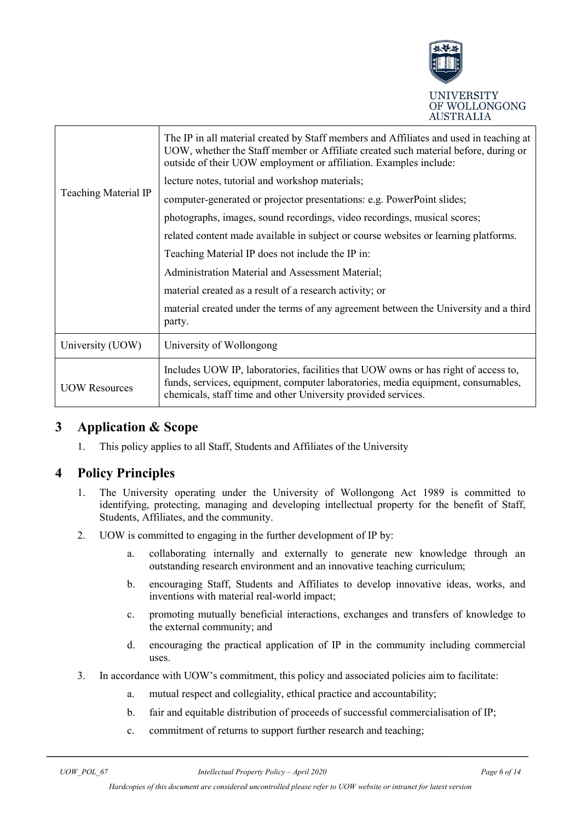

|                             | The IP in all material created by Staff members and Affiliates and used in teaching at<br>UOW, whether the Staff member or Affiliate created such material before, during or<br>outside of their UOW employment or affiliation. Examples include: |  |  |
|-----------------------------|---------------------------------------------------------------------------------------------------------------------------------------------------------------------------------------------------------------------------------------------------|--|--|
| <b>Teaching Material IP</b> | lecture notes, tutorial and workshop materials;                                                                                                                                                                                                   |  |  |
|                             | computer-generated or projector presentations: e.g. PowerPoint slides;                                                                                                                                                                            |  |  |
|                             | photographs, images, sound recordings, video recordings, musical scores;                                                                                                                                                                          |  |  |
|                             | related content made available in subject or course websites or learning platforms.                                                                                                                                                               |  |  |
|                             | Teaching Material IP does not include the IP in:                                                                                                                                                                                                  |  |  |
|                             | Administration Material and Assessment Material;                                                                                                                                                                                                  |  |  |
|                             | material created as a result of a research activity; or                                                                                                                                                                                           |  |  |
|                             | material created under the terms of any agreement between the University and a third<br>party.                                                                                                                                                    |  |  |
| University (UOW)            | University of Wollongong                                                                                                                                                                                                                          |  |  |
| <b>UOW Resources</b>        | Includes UOW IP, laboratories, facilities that UOW owns or has right of access to,<br>funds, services, equipment, computer laboratories, media equipment, consumables,<br>chemicals, staff time and other University provided services.           |  |  |

## <span id="page-5-0"></span>**3 Application & Scope**

1. This policy applies to all Staff, Students and Affiliates of the University

## <span id="page-5-1"></span>**4 Policy Principles**

- 1. The University operating under the University of Wollongong Act 1989 is committed to identifying, protecting, managing and developing intellectual property for the benefit of Staff, Students, Affiliates, and the community.
- 2. UOW is committed to engaging in the further development of IP by:
	- a. collaborating internally and externally to generate new knowledge through an outstanding research environment and an innovative teaching curriculum;
	- b. encouraging Staff, Students and Affiliates to develop innovative ideas, works, and inventions with material real-world impact;
	- c. promoting mutually beneficial interactions, exchanges and transfers of knowledge to the external community; and
	- d. encouraging the practical application of IP in the community including commercial uses.
- 3. In accordance with UOW's commitment, this policy and associated policies aim to facilitate:
	- a. mutual respect and collegiality, ethical practice and accountability;
	- b. fair and equitable distribution of proceeds of successful commercialisation of IP;
	- c. commitment of returns to support further research and teaching;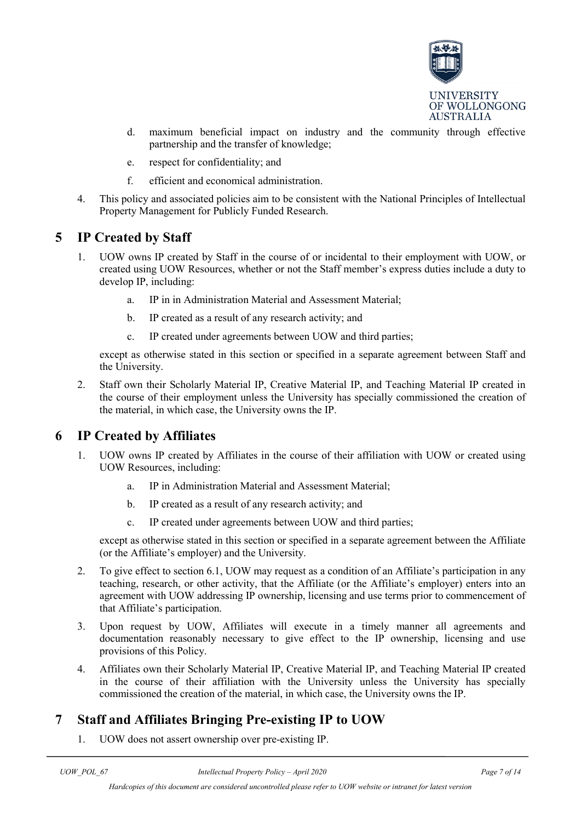

- d. maximum beneficial impact on industry and the community through effective partnership and the transfer of knowledge;
- e. respect for confidentiality; and
- f. efficient and economical administration.
- 4. This policy and associated policies aim to be consistent with the National Principles of Intellectual Property Management for Publicly Funded Research.

#### <span id="page-6-0"></span>**5 IP Created by Staff**

- 1. UOW owns IP created by Staff in the course of or incidental to their employment with UOW, or created using UOW Resources, whether or not the Staff member's express duties include a duty to develop IP, including:
	- a. IP in in Administration Material and Assessment Material;
	- b. IP created as a result of any research activity; and
	- c. IP created under agreements between UOW and third parties;

except as otherwise stated in this section or specified in a separate agreement between Staff and the University.

2. Staff own their Scholarly Material IP, Creative Material IP, and Teaching Material IP created in the course of their employment unless the University has specially commissioned the creation of the material, in which case, the University owns the IP.

#### <span id="page-6-1"></span>**6 IP Created by Affiliates**

- 1. UOW owns IP created by Affiliates in the course of their affiliation with UOW or created using UOW Resources, including:
	- a. IP in Administration Material and Assessment Material;
	- b. IP created as a result of any research activity; and
	- c. IP created under agreements between UOW and third parties;

except as otherwise stated in this section or specified in a separate agreement between the Affiliate (or the Affiliate's employer) and the University.

- 2. To give effect to section 6.1, UOW may request as a condition of an Affiliate's participation in any teaching, research, or other activity, that the Affiliate (or the Affiliate's employer) enters into an agreement with UOW addressing IP ownership, licensing and use terms prior to commencement of that Affiliate's participation.
- 3. Upon request by UOW, Affiliates will execute in a timely manner all agreements and documentation reasonably necessary to give effect to the IP ownership, licensing and use provisions of this Policy.
- 4. Affiliates own their Scholarly Material IP, Creative Material IP, and Teaching Material IP created in the course of their affiliation with the University unless the University has specially commissioned the creation of the material, in which case, the University owns the IP.

## <span id="page-6-2"></span>**7 Staff and Affiliates Bringing Pre-existing IP to UOW**

1. UOW does not assert ownership over pre-existing IP.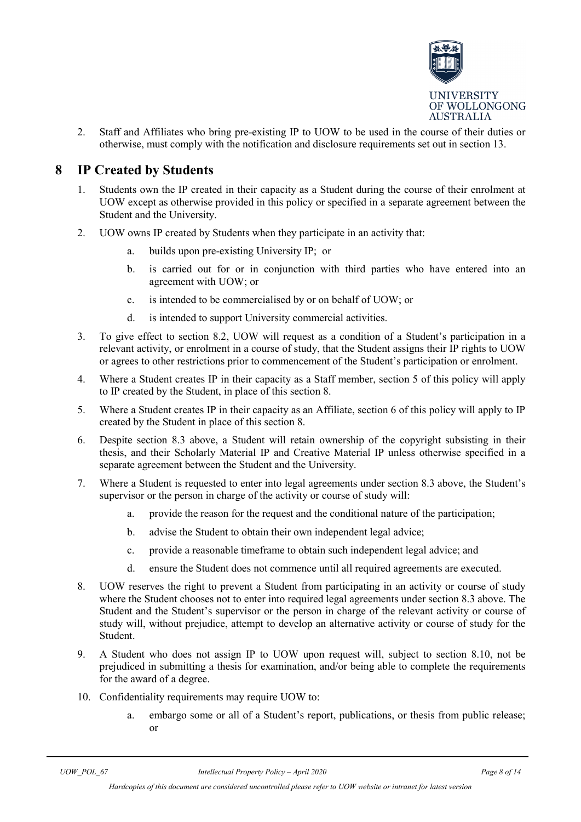

2. Staff and Affiliates who bring pre-existing IP to UOW to be used in the course of their duties or otherwise, must comply with the notification and disclosure requirements set out in section 13.

#### <span id="page-7-0"></span>**8 IP Created by Students**

- 1. Students own the IP created in their capacity as a Student during the course of their enrolment at UOW except as otherwise provided in this policy or specified in a separate agreement between the Student and the University.
- 2. UOW owns IP created by Students when they participate in an activity that:
	- a. builds upon pre-existing University IP; or
	- b. is carried out for or in conjunction with third parties who have entered into an agreement with UOW; or
	- c. is intended to be commercialised by or on behalf of UOW; or
	- d. is intended to support University commercial activities.
- 3. To give effect to section 8.2, UOW will request as a condition of a Student's participation in a relevant activity, or enrolment in a course of study, that the Student assigns their IP rights to UOW or agrees to other restrictions prior to commencement of the Student's participation or enrolment.
- 4. Where a Student creates IP in their capacity as a Staff member, section [5](#page-6-0) of this policy will apply to IP created by the Student, in place of this section 8.
- 5. Where a Student creates IP in their capacity as an Affiliate, section 6 of this policy will apply to IP created by the Student in place of this section 8.
- 6. Despite section 8.3 above, a Student will retain ownership of the copyright subsisting in their thesis, and their Scholarly Material IP and Creative Material IP unless otherwise specified in a separate agreement between the Student and the University.
- 7. Where a Student is requested to enter into legal agreements under section 8.3 above, the Student's supervisor or the person in charge of the activity or course of study will:
	- a. provide the reason for the request and the conditional nature of the participation;
	- b. advise the Student to obtain their own independent legal advice;
	- c. provide a reasonable timeframe to obtain such independent legal advice; and
	- d. ensure the Student does not commence until all required agreements are executed.
- 8. UOW reserves the right to prevent a Student from participating in an activity or course of study where the Student chooses not to enter into required legal agreements under section 8.3 above. The Student and the Student's supervisor or the person in charge of the relevant activity or course of study will, without prejudice, attempt to develop an alternative activity or course of study for the Student.
- 9. A Student who does not assign IP to UOW upon request will, subject to section 8.10, not be prejudiced in submitting a thesis for examination, and/or being able to complete the requirements for the award of a degree.
- 10. Confidentiality requirements may require UOW to:
	- a. embargo some or all of a Student's report, publications, or thesis from public release; or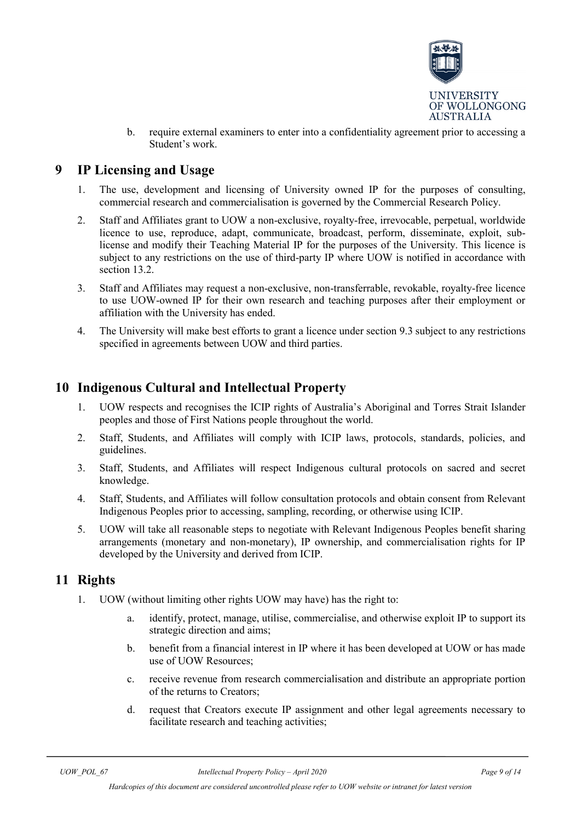

b. require external examiners to enter into a confidentiality agreement prior to accessing a Student's work.

## <span id="page-8-0"></span>**9 IP Licensing and Usage**

- 1. The use, development and licensing of University owned IP for the purposes of consulting, commercial research and commercialisation is governed by the Commercial Research Policy.
- 2. Staff and Affiliates grant to UOW a non-exclusive, royalty-free, irrevocable, perpetual, worldwide licence to use, reproduce, adapt, communicate, broadcast, perform, disseminate, exploit, sublicense and modify their Teaching Material IP for the purposes of the University. This licence is subject to any restrictions on the use of third-party IP where UOW is notified in accordance with section [13.2.](#page-9-2)
- <span id="page-8-3"></span>3. Staff and Affiliates may request a non-exclusive, non-transferrable, revokable, royalty-free licence to use UOW-owned IP for their own research and teaching purposes after their employment or affiliation with the University has ended.
- 4. The University will make best efforts to grant a licence under section [9.3](#page-8-3) subject to any restrictions specified in agreements between UOW and third parties.

## <span id="page-8-1"></span>**10 Indigenous Cultural and Intellectual Property**

- 1. UOW respects and recognises the ICIP rights of Australia's Aboriginal and Torres Strait Islander peoples and those of First Nations people throughout the world.
- 2. Staff, Students, and Affiliates will comply with ICIP laws, protocols, standards, policies, and guidelines.
- 3. Staff, Students, and Affiliates will respect Indigenous cultural protocols on sacred and secret knowledge.
- 4. Staff, Students, and Affiliates will follow consultation protocols and obtain consent from Relevant Indigenous Peoples prior to accessing, sampling, recording, or otherwise using ICIP.
- 5. UOW will take all reasonable steps to negotiate with Relevant Indigenous Peoples benefit sharing arrangements (monetary and non-monetary), IP ownership, and commercialisation rights for IP developed by the University and derived from ICIP.

## <span id="page-8-2"></span>**11 Rights**

- 1. UOW (without limiting other rights UOW may have) has the right to:
	- a. identify, protect, manage, utilise, commercialise, and otherwise exploit IP to support its strategic direction and aims;
	- b. benefit from a financial interest in IP where it has been developed at UOW or has made use of UOW Resources;
	- c. receive revenue from research commercialisation and distribute an appropriate portion of the returns to Creators;
	- d. request that Creators execute IP assignment and other legal agreements necessary to facilitate research and teaching activities;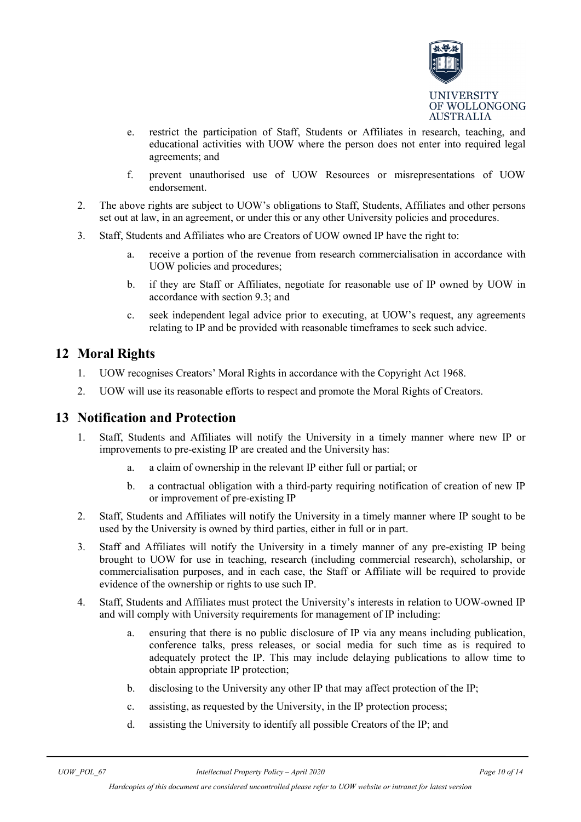

- e. restrict the participation of Staff, Students or Affiliates in research, teaching, and educational activities with UOW where the person does not enter into required legal agreements; and
- f. prevent unauthorised use of UOW Resources or misrepresentations of UOW endorsement.
- 2. The above rights are subject to UOW's obligations to Staff, Students, Affiliates and other persons set out at law, in an agreement, or under this or any other University policies and procedures.
- 3. Staff, Students and Affiliates who are Creators of UOW owned IP have the right to:
	- a. receive a portion of the revenue from research commercialisation in accordance with UOW policies and procedures;
	- b. if they are Staff or Affiliates, negotiate for reasonable use of IP owned by UOW in accordance with section [9.3;](#page-8-3) and
	- c. seek independent legal advice prior to executing, at UOW's request, any agreements relating to IP and be provided with reasonable timeframes to seek such advice.

#### <span id="page-9-0"></span>**12 Moral Rights**

- 1. UOW recognises Creators' Moral Rights in accordance with the Copyright Act 1968.
- 2. UOW will use its reasonable efforts to respect and promote the Moral Rights of Creators.

#### <span id="page-9-1"></span>**13 Notification and Protection**

- 1. Staff, Students and Affiliates will notify the University in a timely manner where new IP or improvements to pre-existing IP are created and the University has:
	- a. a claim of ownership in the relevant IP either full or partial; or
	- b. a contractual obligation with a third-party requiring notification of creation of new IP or improvement of pre-existing IP
- <span id="page-9-2"></span>2. Staff, Students and Affiliates will notify the University in a timely manner where IP sought to be used by the University is owned by third parties, either in full or in part.
- 3. Staff and Affiliates will notify the University in a timely manner of any pre-existing IP being brought to UOW for use in teaching, research (including commercial research), scholarship, or commercialisation purposes, and in each case, the Staff or Affiliate will be required to provide evidence of the ownership or rights to use such IP.
- 4. Staff, Students and Affiliates must protect the University's interests in relation to UOW-owned IP and will comply with University requirements for management of IP including:
	- a. ensuring that there is no public disclosure of IP via any means including publication, conference talks, press releases, or social media for such time as is required to adequately protect the IP. This may include delaying publications to allow time to obtain appropriate IP protection;
	- b. disclosing to the University any other IP that may affect protection of the IP;
	- c. assisting, as requested by the University, in the IP protection process;
	- d. assisting the University to identify all possible Creators of the IP; and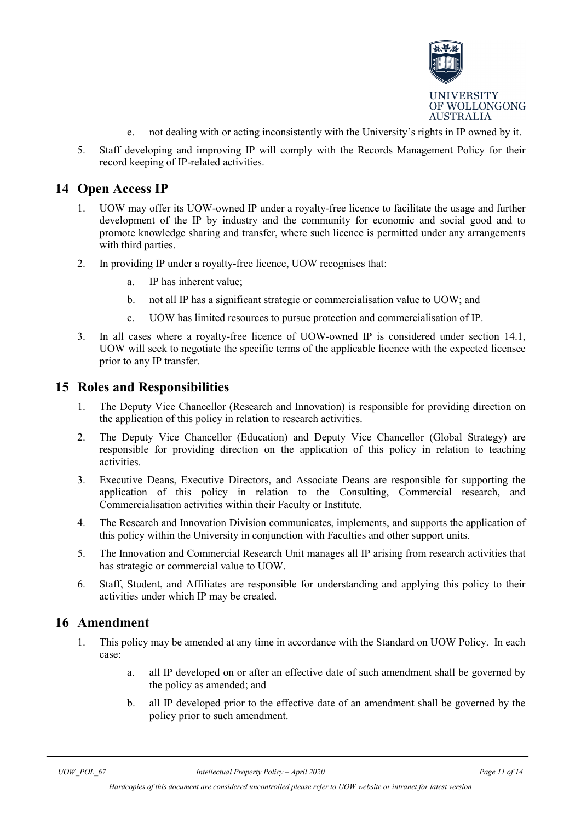

- e. not dealing with or acting inconsistently with the University's rights in IP owned by it.
- 5. Staff developing and improving IP will comply with the Records Management Policy for their record keeping of IP-related activities.

#### <span id="page-10-3"></span><span id="page-10-0"></span>**14 Open Access IP**

- 1. UOW may offer its UOW-owned IP under a royalty-free licence to facilitate the usage and further development of the IP by industry and the community for economic and social good and to promote knowledge sharing and transfer, where such licence is permitted under any arrangements with third parties.
- 2. In providing IP under a royalty-free licence, UOW recognises that:
	- a. IP has inherent value;
	- b. not all IP has a significant strategic or commercialisation value to UOW; and
	- c. UOW has limited resources to pursue protection and commercialisation of IP.
- 3. In all cases where a royalty-free licence of UOW-owned IP is considered under section [14.1,](#page-10-3) UOW will seek to negotiate the specific terms of the applicable licence with the expected licensee prior to any IP transfer.

#### <span id="page-10-1"></span>**15 Roles and Responsibilities**

- 1. The Deputy Vice Chancellor (Research and Innovation) is responsible for providing direction on the application of this policy in relation to research activities.
- 2. The Deputy Vice Chancellor (Education) and Deputy Vice Chancellor (Global Strategy) are responsible for providing direction on the application of this policy in relation to teaching activities.
- 3. Executive Deans, Executive Directors, and Associate Deans are responsible for supporting the application of this policy in relation to the Consulting, Commercial research, and Commercialisation activities within their Faculty or Institute.
- 4. The Research and Innovation Division communicates, implements, and supports the application of this policy within the University in conjunction with Faculties and other support units.
- 5. The Innovation and Commercial Research Unit manages all IP arising from research activities that has strategic or commercial value to UOW.
- 6. Staff, Student, and Affiliates are responsible for understanding and applying this policy to their activities under which IP may be created.

#### <span id="page-10-2"></span>**16 Amendment**

- 1. This policy may be amended at any time in accordance with the Standard on UOW Policy. In each case:
	- a. all IP developed on or after an effective date of such amendment shall be governed by the policy as amended; and
	- b. all IP developed prior to the effective date of an amendment shall be governed by the policy prior to such amendment.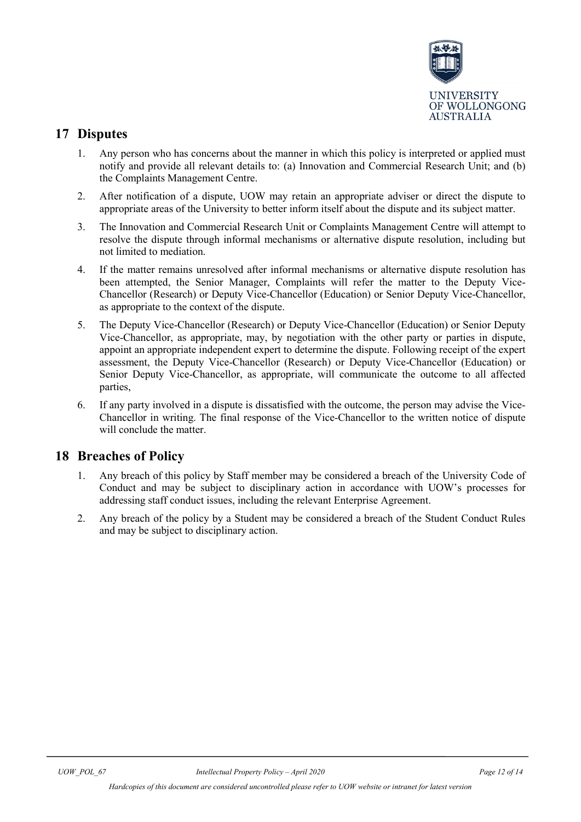

## <span id="page-11-0"></span>**17 Disputes**

- 1. Any person who has concerns about the manner in which this policy is interpreted or applied must notify and provide all relevant details to: (a) Innovation and Commercial Research Unit; and (b) the Complaints Management Centre.
- 2. After notification of a dispute, UOW may retain an appropriate adviser or direct the dispute to appropriate areas of the University to better inform itself about the dispute and its subject matter.
- 3. The Innovation and Commercial Research Unit or Complaints Management Centre will attempt to resolve the dispute through informal mechanisms or alternative dispute resolution, including but not limited to mediation.
- 4. If the matter remains unresolved after informal mechanisms or alternative dispute resolution has been attempted, the Senior Manager, Complaints will refer the matter to the Deputy Vice-Chancellor (Research) or Deputy Vice-Chancellor (Education) or Senior Deputy Vice-Chancellor, as appropriate to the context of the dispute.
- 5. The Deputy Vice-Chancellor (Research) or Deputy Vice-Chancellor (Education) or Senior Deputy Vice-Chancellor, as appropriate, may, by negotiation with the other party or parties in dispute, appoint an appropriate independent expert to determine the dispute. Following receipt of the expert assessment, the Deputy Vice-Chancellor (Research) or Deputy Vice-Chancellor (Education) or Senior Deputy Vice-Chancellor, as appropriate, will communicate the outcome to all affected parties,
- 6. If any party involved in a dispute is dissatisfied with the outcome, the person may advise the Vice-Chancellor in writing. The final response of the Vice-Chancellor to the written notice of dispute will conclude the matter.

#### <span id="page-11-1"></span>**18 Breaches of Policy**

- 1. Any breach of this policy by Staff member may be considered a breach of the University Code of Conduct and may be subject to disciplinary action in accordance with UOW's processes for addressing staff conduct issues, including the relevant Enterprise Agreement.
- 2. Any breach of the policy by a Student may be considered a breach of the Student Conduct Rules and may be subject to disciplinary action.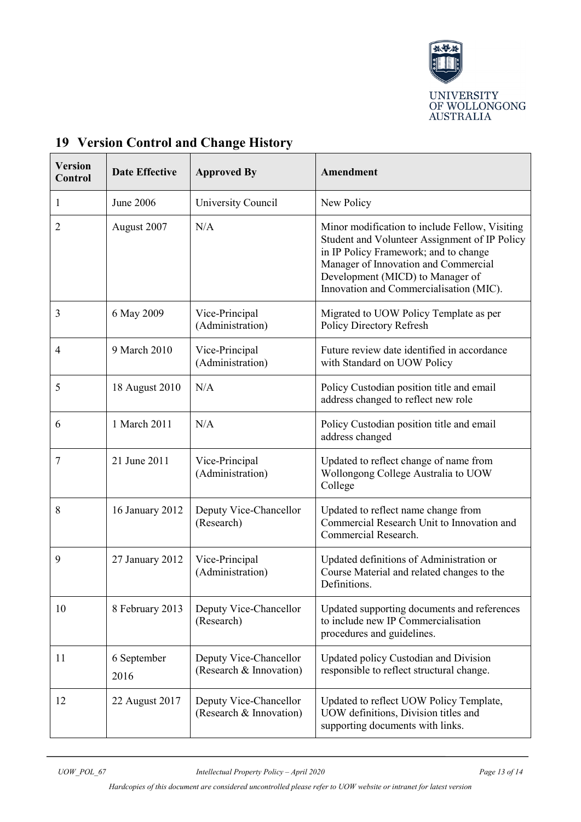

| <b>Version</b><br>Control | <b>Date Effective</b> | <b>Approved By</b>                                | Amendment                                                                                                                                                                                                                                                       |
|---------------------------|-----------------------|---------------------------------------------------|-----------------------------------------------------------------------------------------------------------------------------------------------------------------------------------------------------------------------------------------------------------------|
| $\mathbf{1}$              | June 2006             | University Council                                | New Policy                                                                                                                                                                                                                                                      |
| $\overline{2}$            | August 2007           | N/A                                               | Minor modification to include Fellow, Visiting<br>Student and Volunteer Assignment of IP Policy<br>in IP Policy Framework; and to change<br>Manager of Innovation and Commercial<br>Development (MICD) to Manager of<br>Innovation and Commercialisation (MIC). |
| 3                         | 6 May 2009            | Vice-Principal<br>(Administration)                | Migrated to UOW Policy Template as per<br>Policy Directory Refresh                                                                                                                                                                                              |
| $\overline{4}$            | 9 March 2010          | Vice-Principal<br>(Administration)                | Future review date identified in accordance<br>with Standard on UOW Policy                                                                                                                                                                                      |
| 5                         | 18 August 2010        | N/A                                               | Policy Custodian position title and email<br>address changed to reflect new role                                                                                                                                                                                |
| 6                         | 1 March 2011          | N/A                                               | Policy Custodian position title and email<br>address changed                                                                                                                                                                                                    |
| 7                         | 21 June 2011          | Vice-Principal<br>(Administration)                | Updated to reflect change of name from<br>Wollongong College Australia to UOW<br>College                                                                                                                                                                        |
| 8                         | 16 January 2012       | Deputy Vice-Chancellor<br>(Research)              | Updated to reflect name change from<br>Commercial Research Unit to Innovation and<br>Commercial Research.                                                                                                                                                       |
| 9                         | 27 January 2012       | Vice-Principal<br>(Administration)                | Updated definitions of Administration or<br>Course Material and related changes to the<br>Definitions.                                                                                                                                                          |
| 10                        | 8 February 2013       | Deputy Vice-Chancellor<br>(Research)              | Updated supporting documents and references<br>to include new IP Commercialisation<br>procedures and guidelines.                                                                                                                                                |
| 11                        | 6 September<br>2016   | Deputy Vice-Chancellor<br>(Research & Innovation) | Updated policy Custodian and Division<br>responsible to reflect structural change.                                                                                                                                                                              |
| 12                        | 22 August 2017        | Deputy Vice-Chancellor<br>(Research & Innovation) | Updated to reflect UOW Policy Template,<br>UOW definitions, Division titles and<br>supporting documents with links.                                                                                                                                             |

# <span id="page-12-0"></span>**19 Version Control and Change History**